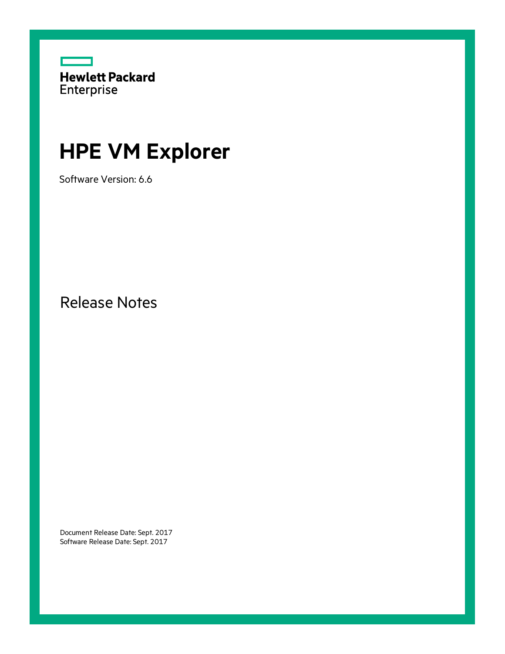

# **HPE VM Explorer**

Software Version: 6.6

Release Notes

Document Release Date: Sept. 2017 Software Release Date: Sept. 2017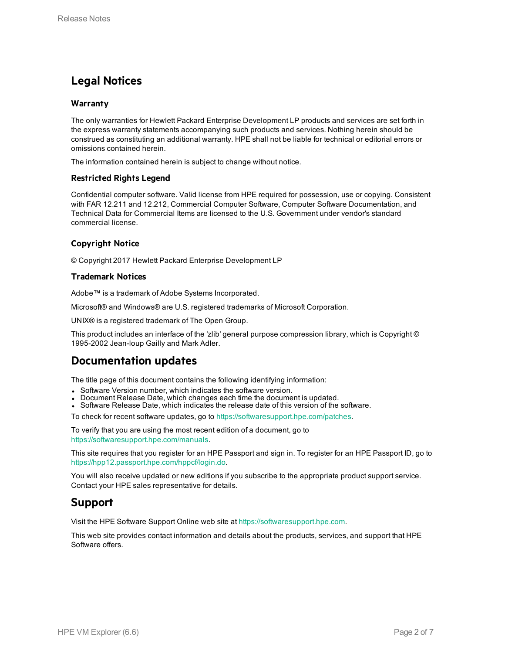### **Legal Notices**

#### **Warranty**

The only warranties for Hewlett Packard Enterprise Development LP products and services are set forth in the express warranty statements accompanying such products and services. Nothing herein should be construed as constituting an additional warranty. HPE shall not be liable for technical or editorial errors or omissions contained herein.

The information contained herein is subject to change without notice.

#### **Restricted Rights Legend**

Confidential computer software. Valid license from HPE required for possession, use or copying. Consistent with FAR 12.211 and 12.212, Commercial Computer Software, Computer Software Documentation, and Technical Data for Commercial Items are licensed to the U.S. Government under vendor's standard commercial license.

#### **Copyright Notice**

© Copyright 2017 Hewlett Packard Enterprise Development LP

#### **Trademark Notices**

Adobe™ is a trademark of Adobe Systems Incorporated.

Microsoft® and Windows® are U.S. registered trademarks of Microsoft Corporation.

UNIX® is a registered trademark of The Open Group.

This product includes an interface of the 'zlib' general purpose compression library, which is Copyright © 1995-2002 Jean-loup Gailly and Mark Adler.

### **Documentation updates**

The title page of this document contains the following identifying information:

- Software Version number, which indicates the software version.
- Document Release Date, which changes each time the document is updated.
- Software Release Date, which indicates the release date of this version of the software.

To check for recent software updates, go to <https://softwaresupport.hpe.com/patches>.

To verify that you are using the most recent edition of a document, go to [https://softwaresupport.hpe.com/manuals.](https://softwaresupport.hpe.com/manuals)

This site requires that you register for an HPE Passport and sign in. To register for an HPE Passport ID, go to [https://hpp12.passport.hpe.com/hppcf/login.do.](https://hpp12.passport.hpe.com/hppcf/login.do)

You will also receive updated or new editions if you subscribe to the appropriate product support service. Contact your HPE sales representative for details.

#### **Support**

Visit the HPE Software Support Online web site at [https://softwaresupport.hpe.com](https://softwaresupport.hpe.com/).

This web site provides contact information and details about the products, services, and support that HPE Software offers.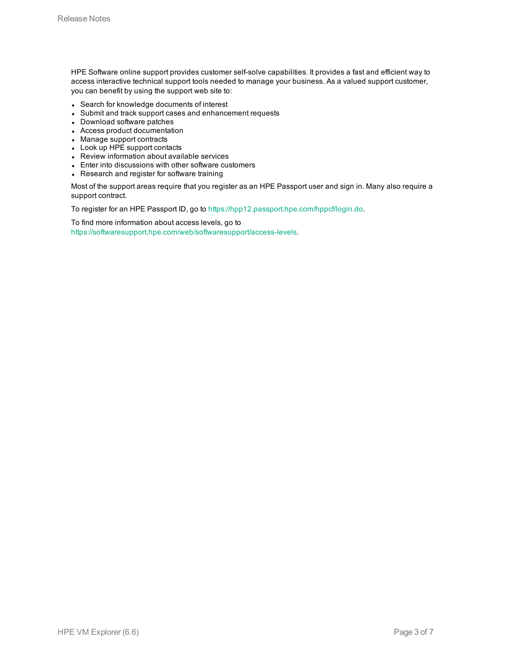HPE Software online support provides customer self-solve capabilities. It provides a fast and efficient way to access interactive technical support tools needed to manage your business. As a valued support customer, you can benefit by using the support web site to:

- Search for knowledge documents of interest
- Submit and track support cases and enhancement requests
- Download software patches
- Access product documentation
- Manage support contracts
- Look up HPE support contacts
- Review information about available services
- Enter into discussions with other software customers
- Research and register for software training

Most of the support areas require that you register as an HPE Passport user and sign in. Many also require a support contract.

To register for an HPE Passport ID, go to <https://hpp12.passport.hpe.com/hppcf/login.do>.

To find more information about access levels, go to <https://softwaresupport.hpe.com/web/softwaresupport/access-levels>.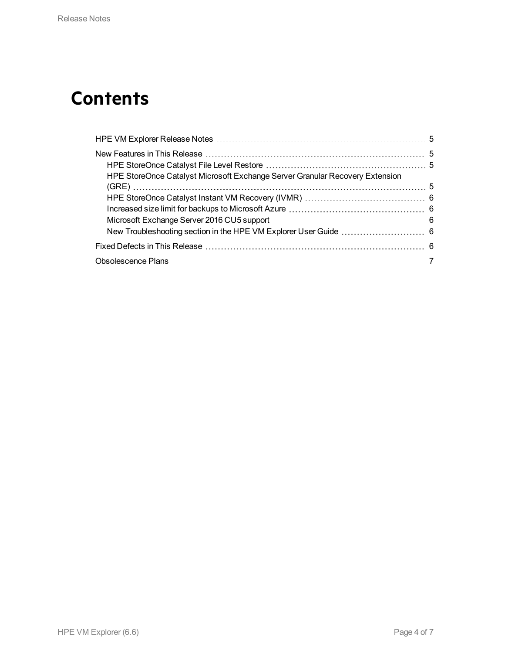# **Contents**

| HPE StoreOnce Catalyst Microsoft Exchange Server Granular Recovery Extension |  |
|------------------------------------------------------------------------------|--|
|                                                                              |  |
|                                                                              |  |
|                                                                              |  |
|                                                                              |  |
|                                                                              |  |
|                                                                              |  |
|                                                                              |  |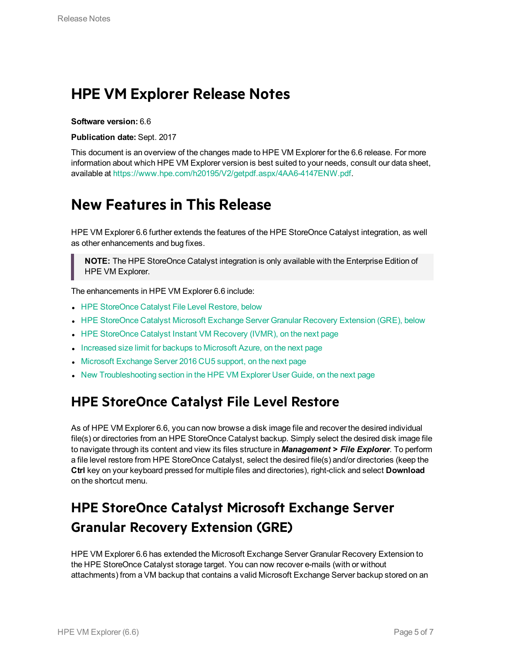# <span id="page-4-0"></span>**HPE VM Explorer Release Notes**

**Software version:** 6.6

**Publication date:** Sept. 2017

This document is an overview of the changes made to HPE VM Explorer for the 6.6 release. For more information about which HPE VM Explorer version is best suited to your needs, consult our data sheet, available at <https://www.hpe.com/h20195/V2/getpdf.aspx/4AA6-4147ENW.pdf>.

# <span id="page-4-1"></span>**New Features in This Release**

HPE VM Explorer 6.6 further extends the features of the HPE StoreOnce Catalyst integration, as well as other enhancements and bug fixes.

**NOTE:** The HPE StoreOnce Catalyst integration is only available with the Enterprise Edition of HPE VM Explorer.

The enhancements in HPE VM Explorer 6.6 include:

- HPE [StoreOnce](#page-4-2) Catalyst File Level Restore, below
- **HPE StoreOnce Catalyst Microsoft Exchange Server Granular [Recovery Extension](#page-4-3) (GRE), below**
- HPE [StoreOnce](#page-5-0) Catalyst Instant VM Recovery (IVMR), on the next page
- [Increased](#page-5-1) size limit for backups to Microsoft Azure, on the next page
- Microsoft [Exchange](#page-5-2) Server 2016 CU5 support, on the next page
- <span id="page-4-2"></span>• New [Troubleshooting](#page-5-3) section in the HPE VM Explorer User Guide, on the next page

## **HPE StoreOnce Catalyst File Level Restore**

As of HPE VM Explorer 6.6, you can now browse a disk image file and recover the desired individual file(s) or directories from an HPE StoreOnce Catalyst backup. Simply select the desired disk image file to navigate through its content and view its files structure in *Management > File Explorer*. To perform a file level restore from HPE StoreOnce Catalyst, select the desired file(s) and/or directories (keep the **Ctrl** key on your keyboard pressed for multiple files and directories), right-click and select **Download** on the shortcut menu.

# <span id="page-4-3"></span>**HPE StoreOnce Catalyst Microsoft Exchange Server Granular Recovery Extension (GRE)**

HPE VM Explorer 6.6 has extended the Microsoft Exchange Server Granular Recovery Extension to the HPE StoreOnce Catalyst storage target. You can now recover e-mails (with or without attachments) from a VM backup that contains a valid Microsoft Exchange Server backup stored on an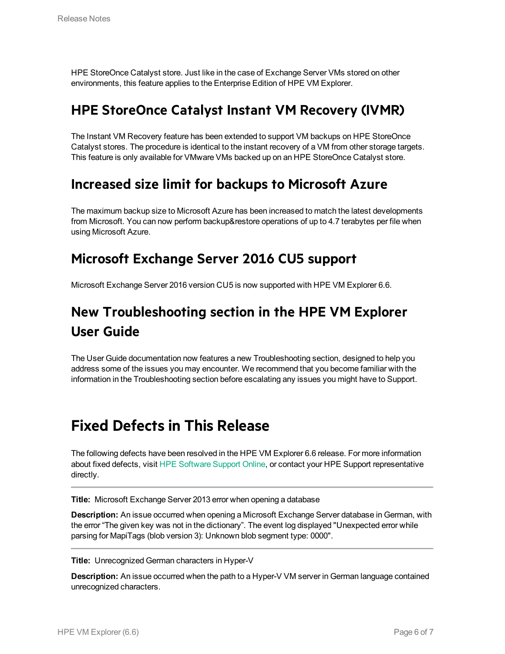<span id="page-5-0"></span>HPE StoreOnce Catalyst store. Just like in the case of Exchange Server VMs stored on other environments, this feature applies to the Enterprise Edition of HPE VM Explorer.

### **HPE StoreOnce Catalyst Instant VM Recovery (IVMR)**

The Instant VM Recovery feature has been extended to support VM backups on HPE StoreOnce Catalyst stores. The procedure is identical to the instant recovery of a VM from other storage targets. This feature is only available for VMware VMs backed up on an HPE StoreOnce Catalyst store.

### <span id="page-5-1"></span>**Increased size limit for backups to Microsoft Azure**

The maximum backup size to Microsoft Azure has been increased to match the latest developments from Microsoft. You can now perform backup&restore operations of up to 4.7 terabytes per file when using Microsoft Azure.

### <span id="page-5-2"></span>**Microsoft Exchange Server 2016 CU5 support**

<span id="page-5-3"></span>Microsoft Exchange Server 2016 version CU5 is now supported with HPE VM Explorer 6.6.

# **New Troubleshooting section in the HPE VM Explorer User Guide**

The User Guide documentation now features a new Troubleshooting section, designed to help you address some of the issues you may encounter. We recommend that you become familiar with the information in the Troubleshooting section before escalating any issues you might have to Support.

# <span id="page-5-4"></span>**Fixed Defects in This Release**

The following defects have been resolved in the HPE VM Explorer 6.6 release. For more information about fixed defects, visit HPE [Software](https://softwaresupport.hpe.com/) Support Online, or contact your HPE Support representative directly.

**Title:** Microsoft Exchange Server 2013 error when opening a database

**Description:** An issue occurred when opening a Microsoft Exchange Server database in German, with the error "The given key was not in the dictionary". The event log displayed "Unexpected error while parsing for MapiTags (blob version 3): Unknown blob segment type: 0000".

**Title:** Unrecognized German characters in Hyper-V

**Description:** An issue occurred when the path to a Hyper-V VM server in German language contained unrecognized characters.